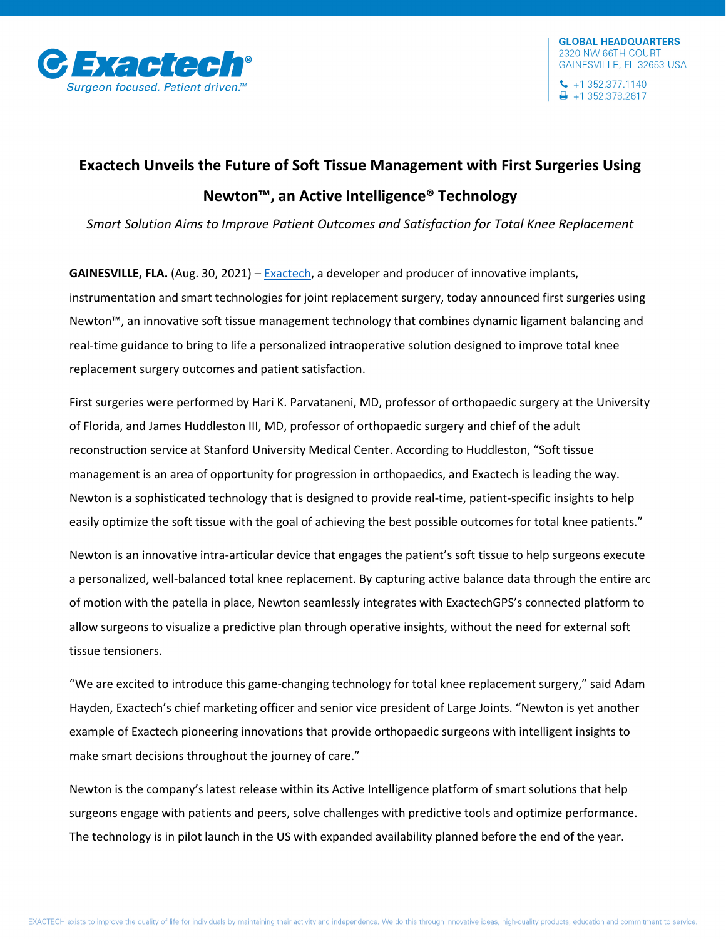

## **Exactech Unveils the Future of Soft Tissue Management with First Surgeries Using Newton™, an Active Intelligence® Technology**

*Smart Solution Aims to Improve Patient Outcomes and Satisfaction for Total Knee Replacement*

**GAINESVILLE, FLA.** (Aug. 30, 2021) – [Exactech,](https://www.exac.com/) a developer and producer of innovative implants, instrumentation and smart technologies for joint replacement surgery, today announced first surgeries using Newton™, an innovative soft tissue management technology that combines dynamic ligament balancing and real-time guidance to bring to life a personalized intraoperative solution designed to improve total knee replacement surgery outcomes and patient satisfaction.

First surgeries were performed by Hari K. Parvataneni, MD, professor of orthopaedic surgery at the University of Florida, and James Huddleston III, MD, professor of orthopaedic surgery and chief of the adult reconstruction service at Stanford University Medical Center. According to Huddleston, "Soft tissue management is an area of opportunity for progression in orthopaedics, and Exactech is leading the way. Newton is a sophisticated technology that is designed to provide real-time, patient-specific insights to help easily optimize the soft tissue with the goal of achieving the best possible outcomes for total knee patients."

Newton is an innovative intra-articular device that engages the patient's soft tissue to help surgeons execute a personalized, well-balanced total knee replacement. By capturing active balance data through the entire arc of motion with the patella in place, Newton seamlessly integrates with ExactechGPS's connected platform to allow surgeons to visualize a predictive plan through operative insights, without the need for external soft tissue tensioners.

"We are excited to introduce this game-changing technology for total knee replacement surgery," said Adam Hayden, Exactech's chief marketing officer and senior vice president of Large Joints. "Newton is yet another example of Exactech pioneering innovations that provide orthopaedic surgeons with intelligent insights to make smart decisions throughout the journey of care."

Newton is the company's latest release within its Active Intelligence platform of smart solutions that help surgeons engage with patients and peers, solve challenges with predictive tools and optimize performance. The technology is in pilot launch in the US with expanded availability planned before the end of the year.